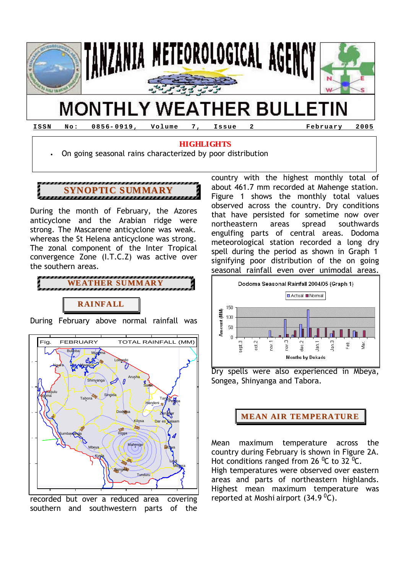

# **HIGHLIGHTS**

• On going seasonal rains characterized by poor distribution

**SYNOPTIC SUMMARY**

During the month of February, the Azores anticyclone and the Arabian ridge were strong. The Mascarene anticyclone was weak. whereas the St Helena anticyclone was strong. The zonal component of the Inter Tropical convergence Zone (I.T.C.Z) was active over the southern areas.



During February above normal rainfall was



recorded but over a reduced area covering southern and southwestern parts of the country with the highest monthly total of about 461.7 mm recorded at Mahenge station. Figure 1 shows the monthly total values observed across the country. Dry conditions that have persisted for sometime now over northeastern areas spread southwards engulfing parts of central areas. Dodoma meteorological station recorded a long dry spell during the period as shown in Graph 1 signifying poor distribution of the on going seasonal rainfall even over unimodal areas.



Dry spells were also experienced in Mbeya, Songea, Shinyanga and Tabora.

## **MEAN AIR TEMPERATURE**

Mean maximum temperature across the country during February is shown in Figure 2A. Hot conditions ranged from 26  $^0C$  to 32  $^0C$ . High temperatures were observed over eastern areas and parts of northeastern highlands. Highest mean maximum temperature was reported at Moshi airport  $(34.9<sup>0</sup>C)$ .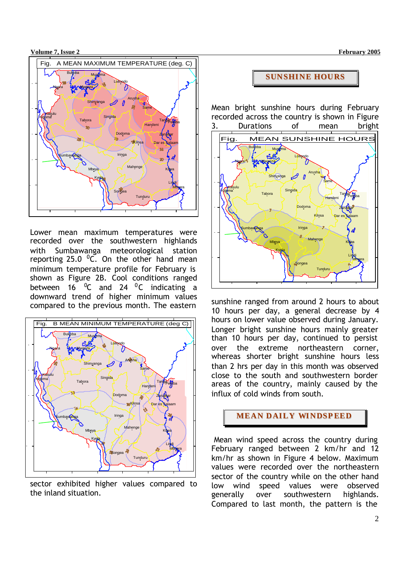**Volume 7, Issue 2 February 2005** 



Lower mean maximum temperatures were recorded over the southwestern highlands with Sumbawanga meteorological station reporting 25.0  $^0$ C. On the other hand mean minimum temperature profile for February is shown as Figure 2B. Cool conditions ranged between  $16 \degree$ C and  $24 \degree$ C indicating a downward trend of higher minimum values compared to the previous month. The eastern



sector exhibited higher values compared to the inland situation.

#### **SUNSHINE HOURS**

Mean bright sunshine hours during February recorded across the country is shown in Figure 3. Durations of mean bright



sunshine ranged from around 2 hours to about 10 hours per day, a general decrease by 4 hours on lower value observed during January. Longer bright sunshine hours mainly greater than 10 hours per day, continued to persist over the extreme northeastern corner, whereas shorter bright sunshine hours less than 2 hrs per day in this month was observed close to the south and southwestern border areas of the country, mainly caused by the influx of cold winds from south.

# **MEAN DAILY WINDSPEED**

 Mean wind speed across the country during February ranged between 2 km/hr and 12 km/hr as shown in Figure 4 below. Maximum values were recorded over the northeastern sector of the country while on the other hand low wind speed values were observed generally over southwestern highlands. Compared to last month, the pattern is the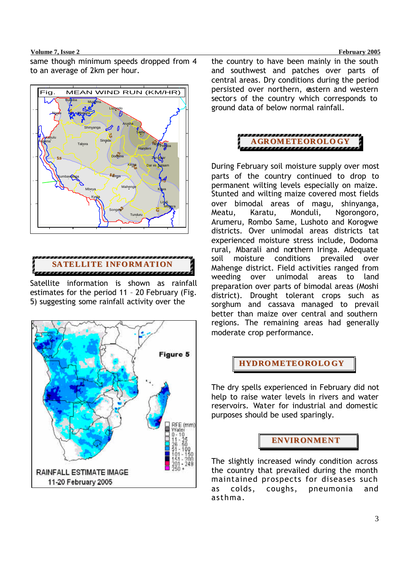#### **Volume 7, Issue 2 February 2005**

same though minimum speeds dropped from 4 to an average of 2km per hour.





Satellite information is shown as rainfall estimates for the period 11 – 20 February (Fig. 5) suggesting some rainfall activity over the



the country to have been mainly in the south and southwest and patches over parts of central areas. Dry conditions during the period persisted over northern, eastern and western sectors of the country which corresponds to ground data of below normal rainfall.



During February soil moisture supply over most parts of the country continued to drop to permanent wilting levels especially on maize. Stunted and wilting maize covered most fields over bimodal areas of magu, shinyanga, Meatu, Karatu, Monduli, Ngorongoro, Arumeru, Rombo Same, Lushoto and Korogwe districts. Over unimodal areas districts tat experienced moisture stress include, Dodoma rural, Mbarali and northern Iringa. Adequate soil moisture conditions prevailed over Mahenge district. Field activities ranged from weeding over unimodal areas to land preparation over parts of bimodal areas (Moshi district). Drought tolerant crops such as sorghum and cassava managed to prevail better than maize over central and southern regions. The remaining areas had generally moderate crop performance.

## **HYDROMETEOROLO GY**

The dry spells experienced in February did not help to raise water levels in rivers and water reservoirs. Water for industrial and domestic purposes should be used sparingly.



The slightly increased windy condition across the country that prevailed during the month maintained prospects for diseases such as colds, coughs, pneumonia and asthma.